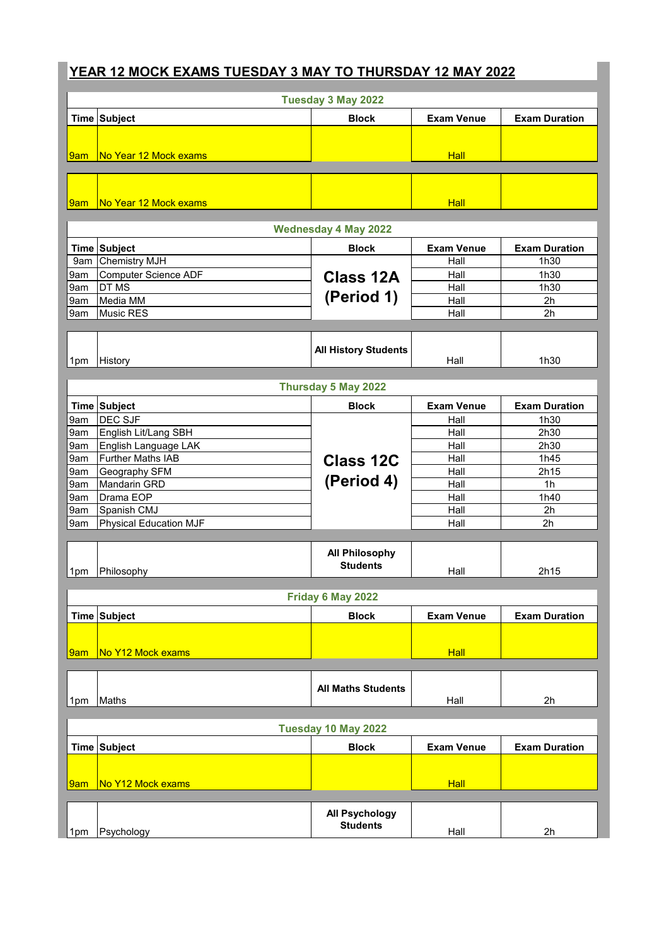## **YEAR 12 MOCK EXAMS TUESDAY 3 MAY TO THURSDAY 12 MAY 2022**

| Tuesday 3 May 2022  |                               |                                          |                   |                      |  |
|---------------------|-------------------------------|------------------------------------------|-------------------|----------------------|--|
|                     | <b>Time Subject</b>           | <b>Block</b>                             | <b>Exam Venue</b> | <b>Exam Duration</b> |  |
|                     |                               |                                          |                   |                      |  |
| 9am                 | No Year 12 Mock exams         |                                          | <b>Hall</b>       |                      |  |
|                     |                               |                                          |                   |                      |  |
|                     |                               |                                          |                   |                      |  |
|                     |                               |                                          |                   |                      |  |
| 9am                 | No Year 12 Mock exams         |                                          | <b>Hall</b>       |                      |  |
|                     |                               | <b>Wednesday 4 May 2022</b>              |                   |                      |  |
|                     | Time Subject                  | <b>Block</b>                             | <b>Exam Venue</b> | <b>Exam Duration</b> |  |
| 9am                 | <b>Chemistry MJH</b>          |                                          | Hall              | 1h30                 |  |
| 9am                 | <b>Computer Science ADF</b>   | <b>Class 12A</b>                         | Hall              | 1h30                 |  |
| 9am                 | DT MS                         |                                          | Hall              | 1h30                 |  |
| 9am                 | Media MM                      | (Period 1)                               | Hall              | 2 <sub>h</sub>       |  |
| 9am                 | Music RES                     |                                          | Hall              | 2 <sub>h</sub>       |  |
|                     |                               |                                          |                   |                      |  |
|                     |                               | <b>All History Students</b>              |                   |                      |  |
| 1pm                 | History                       |                                          | Hall              | 1h30                 |  |
|                     |                               |                                          |                   |                      |  |
|                     |                               | Thursday 5 May 2022                      |                   |                      |  |
|                     | Time Subject                  | <b>Block</b>                             | <b>Exam Venue</b> | <b>Exam Duration</b> |  |
| 9am                 | DEC SJF                       |                                          | Hall              | 1h30                 |  |
| 9am                 | English Lit/Lang SBH          |                                          | Hall              | 2h30                 |  |
| 9am                 | English Language LAK          |                                          | Hall              | 2h30                 |  |
| 9am                 | <b>Further Maths IAB</b>      | <b>Class 12C</b>                         | Hall              | 1h45                 |  |
| 9am                 | Geography SFM                 |                                          | Hall              | 2h15                 |  |
| 9am                 | Mandarin GRD                  | (Period 4)                               | Hall              | 1 <sub>h</sub>       |  |
| 9am                 | Drama EOP                     |                                          | Hall              | 1h40                 |  |
| 9am                 | Spanish CMJ                   |                                          | Hall              | 2h                   |  |
| 9am                 | <b>Physical Education MJF</b> |                                          | Hall              | 2h                   |  |
|                     |                               |                                          |                   |                      |  |
|                     |                               | <b>All Philosophy</b><br><b>Students</b> |                   |                      |  |
| 1pm                 | Philosophy                    |                                          | Hall              | 2h15                 |  |
|                     |                               | Friday 6 May 2022                        |                   |                      |  |
|                     |                               |                                          |                   |                      |  |
|                     | <b>Time Subject</b>           | <b>Block</b>                             | <b>Exam Venue</b> | <b>Exam Duration</b> |  |
|                     |                               |                                          |                   |                      |  |
| <mark>l9am</mark>   | No Y12 Mock exams             |                                          | Hall              |                      |  |
|                     |                               |                                          |                   |                      |  |
|                     |                               |                                          |                   |                      |  |
| 1pm                 | Maths                         | <b>All Maths Students</b>                | Hall              | 2h                   |  |
|                     |                               |                                          |                   |                      |  |
| Tuesday 10 May 2022 |                               |                                          |                   |                      |  |
|                     | Time Subject                  | <b>Block</b>                             | <b>Exam Venue</b> | <b>Exam Duration</b> |  |
|                     |                               |                                          |                   |                      |  |
|                     |                               |                                          |                   |                      |  |
| 9am                 | No Y12 Mock exams             |                                          | <b>Hall</b>       |                      |  |
|                     |                               |                                          |                   |                      |  |
|                     |                               | <b>All Psychology</b>                    |                   |                      |  |
| 1pm                 | Psychology                    | <b>Students</b>                          | Hall              | 2h                   |  |
|                     |                               |                                          |                   |                      |  |